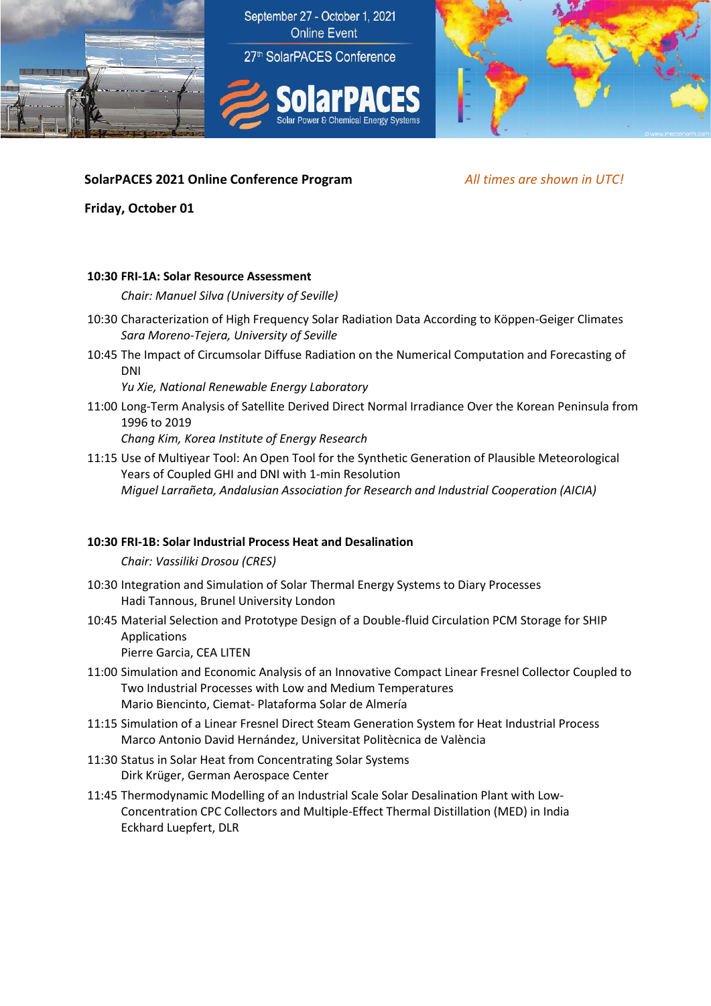



# **SolarPACES 2021 Online Conference Program** *All times are shown in UTC!*

**Friday, October 01**

### **10:30 FRI-1A: Solar Resource Assessment**

*Chair: Manuel Silva (University of Seville)*

- 10:30 Characterization of High Frequency Solar Radiation Data According to Köppen-Geiger Climates *Sara Moreno-Tejera, University of Seville*
- 10:45 The Impact of Circumsolar Diffuse Radiation on the Numerical Computation and Forecasting of DNI

*Yu Xie, National Renewable Energy Laboratory*

11:00 Long-Term Analysis of Satellite Derived Direct Normal Irradiance Over the Korean Peninsula from 1996 to 2019

*Chang Kim, Korea Institute of Energy Research*

11:15 Use of Multiyear Tool: An Open Tool for the Synthetic Generation of Plausible Meteorological Years of Coupled GHI and DNI with 1-min Resolution *Miguel Larrañeta, Andalusian Association for Research and Industrial Cooperation (AICIA)*

## **10:30 FRI-1B: Solar Industrial Process Heat and Desalination**

*Chair: Vassiliki Drosou (CRES)*

- 10:30 Integration and Simulation of Solar Thermal Energy Systems to Diary Processes Hadi Tannous, Brunel University London
- 10:45 Material Selection and Prototype Design of a Double-fluid Circulation PCM Storage for SHIP Applications

Pierre Garcia, CEA LITEN

- 11:00 Simulation and Economic Analysis of an Innovative Compact Linear Fresnel Collector Coupled to Two Industrial Processes with Low and Medium Temperatures Mario Biencinto, Ciemat- Plataforma Solar de Almería
- 11:15 Simulation of a Linear Fresnel Direct Steam Generation System for Heat Industrial Process Marco Antonio David Hernández, Universitat Politècnica de València
- 11:30 Status in Solar Heat from Concentrating Solar Systems Dirk Krüger, German Aerospace Center
- 11:45 Thermodynamic Modelling of an Industrial Scale Solar Desalination Plant with Low-Concentration CPC Collectors and Multiple-Effect Thermal Distillation (MED) in India Eckhard Luepfert, DLR